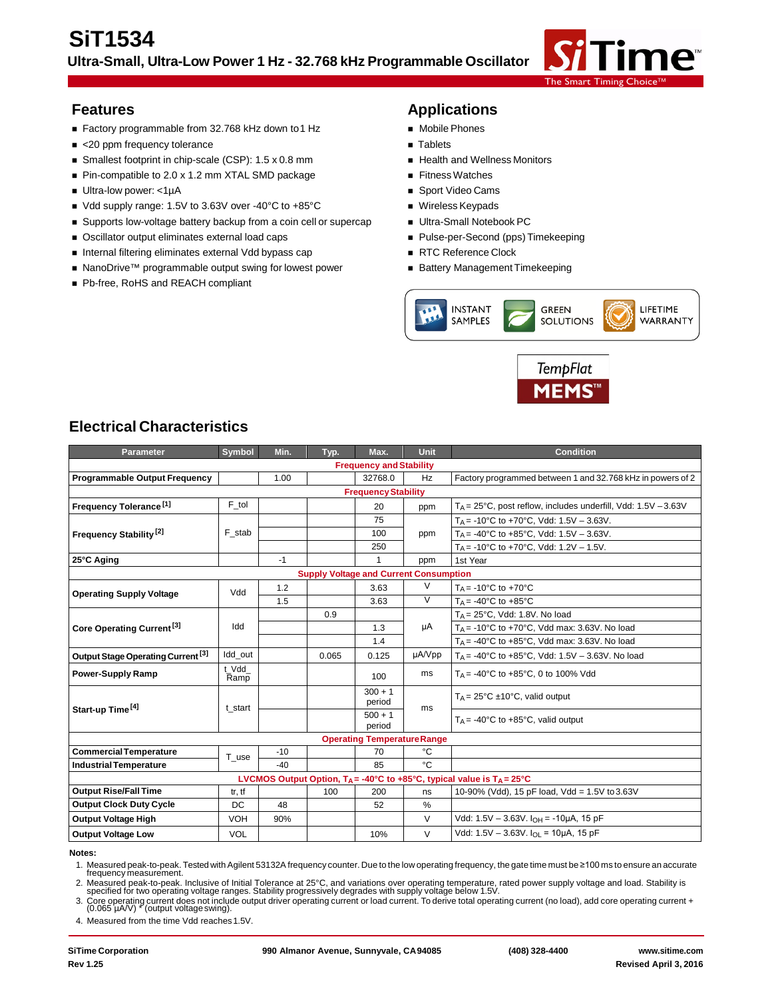

- Factory programmable from 32.768 kHz down to 1 Hz Mobile Phones
- <20 ppm frequency tolerance Tablets
- Smallest footprint in chip-scale (CSP): 1.5 x 0.8 mm Health and Wellness Monitors
- Pin-compatible to 2.0 x 1.2 mm XTAL SMD package Fitness Watches
- Ultra-low power: <1µA Sport Video Cams
- Vdd supply range: 1.5V to 3.63V over -40°C to +85°C Wireless Keypads
- Supports low-voltage battery backup from a coin cell or supercap Ultra-Small Notebook PC
- Oscillator output eliminates external load caps **Access Pulse-per-Second (pps)** Timekeeping
- Internal filtering eliminates external Vdd bypass cap RTC Reference Clock
- NanoDrive™ programmable output swing for lowest power Battery Management Timekeeping
- Pb-free, RoHS and REACH compliant

### **Features Applications**

- 
- 
- 
- 
- 
- 
- 
- 
- 
- 





# **Electrical Characteristics**

| <b>Parameter</b>                                                                                 | <b>Symbol</b> | Min.  | Typ.                                          | Max.                              | Unit           | <b>Condition</b>                                                          |  |
|--------------------------------------------------------------------------------------------------|---------------|-------|-----------------------------------------------|-----------------------------------|----------------|---------------------------------------------------------------------------|--|
| <b>Frequency and Stability</b>                                                                   |               |       |                                               |                                   |                |                                                                           |  |
| <b>Programmable Output Frequency</b>                                                             |               | 1.00  |                                               | 32768.0                           | Hz             | Factory programmed between 1 and 32.768 kHz in powers of 2                |  |
| <b>Frequency Stability</b>                                                                       |               |       |                                               |                                   |                |                                                                           |  |
| Frequency Tolerance <sup>[1]</sup>                                                               | F tol         |       |                                               | 20                                | ppm            | $T_A = 25^{\circ}$ C, post reflow, includes underfill, Vdd: 1.5V $-3.63V$ |  |
|                                                                                                  |               |       |                                               | 75                                |                | $T_A$ = -10°C to +70°C, Vdd: 1.5V - 3.63V.                                |  |
| Frequency Stability <sup>[2]</sup>                                                               | F stab        |       |                                               | 100                               | ppm            | $T_A$ = -40°C to +85°C, Vdd: 1.5V – 3.63V.                                |  |
|                                                                                                  |               |       |                                               | 250                               |                | $T_A$ = -10°C to +70°C, Vdd: 1.2V – 1.5V.                                 |  |
| 25°C Aging                                                                                       |               | $-1$  |                                               | 1                                 | ppm            | 1st Year                                                                  |  |
|                                                                                                  |               |       | <b>Supply Voltage and Current Consumption</b> |                                   |                |                                                                           |  |
| <b>Operating Supply Voltage</b>                                                                  | Vdd           | 1.2   |                                               | 3.63                              | $\vee$         | $T_A = -10$ °C to +70°C                                                   |  |
|                                                                                                  |               | 1.5   |                                               | 3.63                              | $\overline{V}$ | $T_A = -40^{\circ}$ C to $+85^{\circ}$ C                                  |  |
|                                                                                                  |               |       | 0.9                                           |                                   |                | $T_A = 25^{\circ}$ C, Vdd: 1.8V. No load                                  |  |
| Core Operating Current <sup>[3]</sup>                                                            | Idd           |       |                                               | 1.3                               | μA             | $T_A$ = -10°C to +70°C, Vdd max: 3.63V. No load                           |  |
|                                                                                                  |               |       |                                               | 1.4                               |                | $T_A = -40^{\circ}$ C to $+85^{\circ}$ C, Vdd max: 3.63V. No load         |  |
| Output Stage Operating Current <sup>[3]</sup>                                                    | Idd out       |       | 0.065                                         | 0.125                             | µA/Vpp         | $T_A = -40^{\circ}$ C to $+85^{\circ}$ C, Vdd: 1.5V - 3.63V. No load      |  |
| <b>Power-Supply Ramp</b>                                                                         | t Vdd<br>Ramp |       |                                               | 100                               | ms             | $T_A = -40^{\circ}$ C to $+85^{\circ}$ C, 0 to 100% Vdd                   |  |
|                                                                                                  | t start       |       |                                               | $300 + 1$<br>period               | ms             | $T_A = 25^{\circ}C \pm 10^{\circ}C$ , valid output                        |  |
| Start-up Time <sup>[4]</sup>                                                                     |               |       |                                               | $500 + 1$<br>period               |                | $T_A = -40^{\circ}C$ to $+85^{\circ}C$ , valid output                     |  |
|                                                                                                  |               |       |                                               | <b>Operating TemperatureRange</b> |                |                                                                           |  |
| <b>Commercial Temperature</b>                                                                    | T use         | $-10$ |                                               | 70                                | °C             |                                                                           |  |
| <b>Industrial Temperature</b>                                                                    |               | $-40$ |                                               | 85                                | °C.            |                                                                           |  |
| LVCMOS Output Option, $T_A = -40^\circ C$ to $+85^\circ C$ , typical value is $T_A = 25^\circ C$ |               |       |                                               |                                   |                |                                                                           |  |
| <b>Output Rise/Fall Time</b>                                                                     | tr, tf        |       | 100                                           | 200                               | ns             | 10-90% (Vdd), 15 pF load, Vdd = 1.5V to 3.63V                             |  |
| <b>Output Clock Duty Cycle</b>                                                                   | DC            | 48    |                                               | 52                                | %              |                                                                           |  |
| <b>Output Voltage High</b>                                                                       | VOH           | 90%   |                                               |                                   | $\vee$         | Vdd: 1.5V - 3.63V. I <sub>OH</sub> = -10µA, 15 pF                         |  |
| <b>Output Voltage Low</b>                                                                        | <b>VOL</b>    |       |                                               | 10%                               | V              | Vdd: $1.5V - 3.63V$ . $I_{\Omega I} = 10 \mu A$ , 15 pF                   |  |

#### **Notes:**

1. Measured peak-to-peak. Tested with Agilent 53132A frequency counter. Due to the low operating frequency, the gate time must be ≥100 ms to ensure an accurate frequency measurement.

2. Measured peak-to-peak. Inclusive of Initial Tolerance at 25°C, and variations over operating temperature, rated power supply voltage and load. Stability is specified for two operating voltage ranges. Stability progressi

3. Core operating current does not include output driver operating current or load current. To derive total operating current (no load), add core operating current + (0.065 µA/V) \* (output voltageswing).

4. Measured from the time Vdd reaches 1.5V.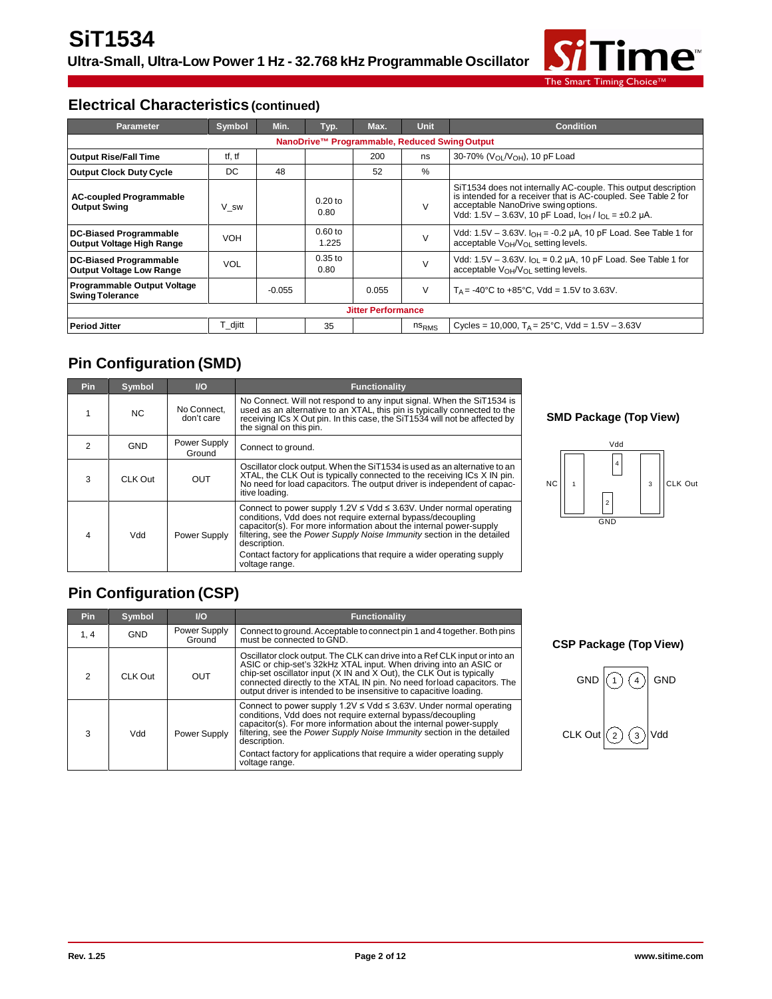

### **Electrical Characteristics (continued)**

| Parameter                                                        | Symbol     | Min.     | Typ.               | Max.                      | <b>Unit</b>       | <b>Condition</b>                                                                                                                                                                                                                        |  |
|------------------------------------------------------------------|------------|----------|--------------------|---------------------------|-------------------|-----------------------------------------------------------------------------------------------------------------------------------------------------------------------------------------------------------------------------------------|--|
| NanoDrive™ Programmable, Reduced Swing Output                    |            |          |                    |                           |                   |                                                                                                                                                                                                                                         |  |
| <b>Output Rise/Fall Time</b>                                     | tf, tf     |          |                    | 200                       | ns                | 30-70% (V <sub>OL</sub> /V <sub>OH</sub> ), 10 pF Load                                                                                                                                                                                  |  |
| <b>Output Clock Duty Cycle</b>                                   | DC         | 48       |                    | 52                        | $\%$              |                                                                                                                                                                                                                                         |  |
| <b>AC-coupled Programmable</b><br><b>Output Swing</b>            | V sw       |          | $0.20$ to<br>0.80  |                           | V                 | SiT1534 does not internally AC-couple. This output description<br>is intended for a receiver that is AC-coupled. See Table 2 for<br>acceptable NanoDrive swing options.<br>Vdd: 1.5V - 3.63V, 10 pF Load, $I_{OH}/I_{OL} = \pm 0.2$ µA. |  |
| <b>DC-Biased Programmable</b><br>Output Voltage High Range       | <b>VOH</b> |          | $0.60$ to<br>1.225 |                           | V                 | Vdd: $1.5V - 3.63V$ . $I_{OH} = -0.2 \mu A$ , 10 pF Load. See Table 1 for<br>acceptable $V_{OH}/V_{OL}$ setting levels.                                                                                                                 |  |
| <b>DC-Biased Programmable</b><br><b>Output Voltage Low Range</b> | <b>VOL</b> |          | $0.35$ to<br>0.80  |                           | $\vee$            | Vdd: $1.5V - 3.63V$ . $I_{OL} = 0.2 \mu A$ , 10 pF Load. See Table 1 for<br>acceptable V <sub>OH</sub> /V <sub>OL</sub> setting levels.                                                                                                 |  |
| <b>Programmable Output Voltage</b><br><b>Swing Tolerance</b>     |            | $-0.055$ |                    | 0.055                     | V                 | $T_A = -40^{\circ}$ C to $+85^{\circ}$ C, Vdd = 1.5V to 3.63V.                                                                                                                                                                          |  |
|                                                                  |            |          |                    | <b>Jitter Performance</b> |                   |                                                                                                                                                                                                                                         |  |
| <b>Period Jitter</b>                                             | T_djitt    |          | 35                 |                           | ns <sub>RMS</sub> | Cycles = 10,000, $T_A = 25^{\circ}$ C, Vdd = 1.5V - 3.63V                                                                                                                                                                               |  |

# **Pin Configuration (SMD)**

| <b>Pin</b> | Symbol         | $U$                       | <b>Functionality</b>                                                                                                                                                                                                                                                                                                                                                                                   |
|------------|----------------|---------------------------|--------------------------------------------------------------------------------------------------------------------------------------------------------------------------------------------------------------------------------------------------------------------------------------------------------------------------------------------------------------------------------------------------------|
|            | N <sub>C</sub> | No Connect,<br>don't care | No Connect. Will not respond to any input signal. When the SiT1534 is<br>used as an alternative to an XTAL, this pin is typically connected to the<br>receiving ICs X Out pin. In this case, the SiT1534 will not be affected by<br>the signal on this pin.                                                                                                                                            |
| 2          | <b>GND</b>     | Power Supply<br>Ground    | Connect to ground.                                                                                                                                                                                                                                                                                                                                                                                     |
| 3          | CLK Out        | OUT                       | Oscillator clock output. When the SiT1534 is used as an alternative to an<br>XTAL, the CLK Out is typically connected to the receiving ICs X IN pin.<br>No need for load capacitors. The output driver is independent of capac-<br>itive loading.                                                                                                                                                      |
| 4          | Vdd            | Power Supply              | Connect to power supply $1.2V \leq Vdd \leq 3.63V$ . Under normal operating<br>conditions. Vdd does not require external bypass/decoupling<br>capacitor(s). For more information about the internal power-supply<br>filtering, see the Power Supply Noise Immunity section in the detailed<br>description.<br>Contact factory for applications that require a wider operating supply<br>voltage range. |

#### **SMD Package (Top View)**



# **Pin Configuration (CSP)**

| <b>Pin</b>    | Symbol     | $\mathsf{U}\mathsf{O}$ | <b>Functionality</b>                                                                                                                                                                                                                                                                                                                                                                       |
|---------------|------------|------------------------|--------------------------------------------------------------------------------------------------------------------------------------------------------------------------------------------------------------------------------------------------------------------------------------------------------------------------------------------------------------------------------------------|
| 1, 4          | <b>GND</b> | Power Supply<br>Ground | Connect to ground. Acceptable to connect pin 1 and 4 together. Both pins<br>must be connected to GND.                                                                                                                                                                                                                                                                                      |
| $\mathcal{P}$ | CLK Out    | OUT                    | Oscillator clock output. The CLK can drive into a Ref CLK input or into an<br>ASIC or chip-set's 32kHz XTAL input. When driving into an ASIC or<br>chip-set oscillator input (X IN and X Out), the CLK Out is typically<br>connected directly to the XTAL IN pin. No need for load capacitors. The<br>output driver is intended to be insensitive to capacitive loading.                   |
| 3             | Vdd        | Power Supply           | Connect to power supply 1.2V ≤ Vdd ≤ 3.63V. Under normal operating conditions, Vdd does not require external bypass/decoupling<br>capacitor(s). For more information about the internal power-supply<br>filtering, see the Power Supply Noise Immunity section in the detailed<br>description.<br>Contact factory for applications that require a wider operating supply<br>voltage range. |

**CSP Package (Top View)**

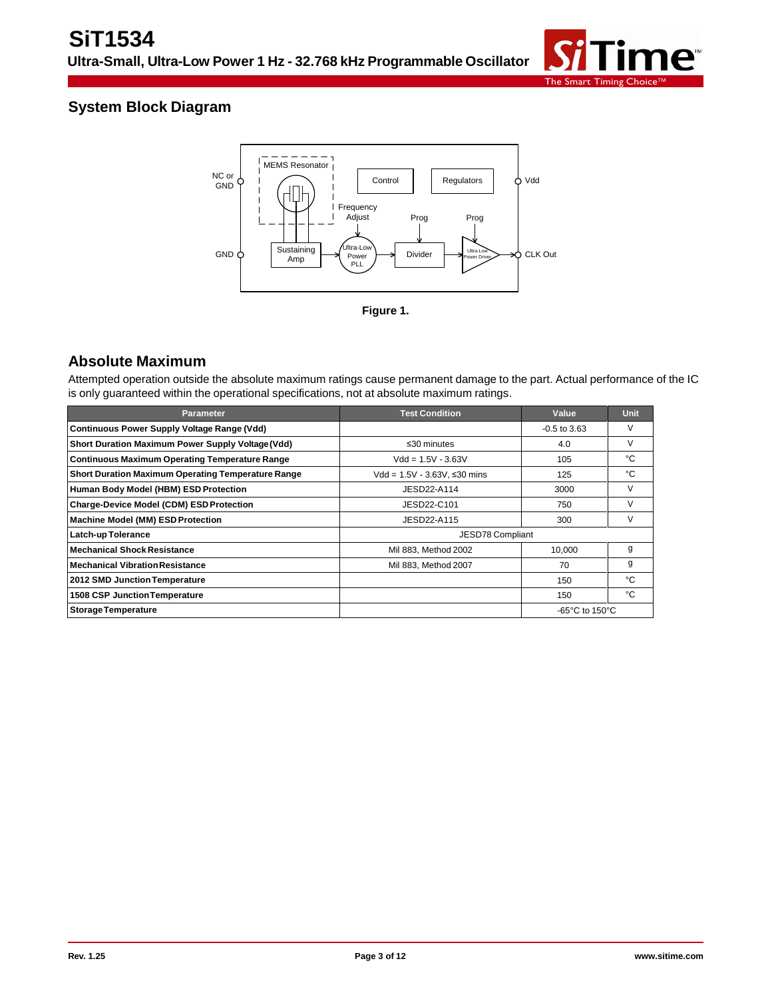

## **System Block Diagram**



### **Absolute Maximum**

Attempted operation outside the absolute maximum ratings cause permanent damage to the part. Actual performance of the IC is only guaranteed within the operational specifications, not at absolute maximum ratings.

| <b>Parameter</b>                                          | <b>Test Condition</b>           | Value                                                | <b>Unit</b> |  |
|-----------------------------------------------------------|---------------------------------|------------------------------------------------------|-------------|--|
| <b>Continuous Power Supply Voltage Range (Vdd)</b>        |                                 | $-0.5$ to $3.63$                                     | V           |  |
| Short Duration Maximum Power Supply Voltage (Vdd)         | $\leq$ 30 minutes               | 4.0                                                  | V           |  |
| <b>Continuous Maximum Operating Temperature Range</b>     | $Vdd = 1.5V - 3.63V$            | 105                                                  | °C          |  |
| <b>Short Duration Maximum Operating Temperature Range</b> | $Vdd = 1.5V - 3.63V$ , ≤30 mins | 125                                                  | °C          |  |
| Human Body Model (HBM) ESD Protection                     | JESD22-A114                     | 3000                                                 | V           |  |
| <b>Charge-Device Model (CDM) ESD Protection</b>           | JESD22-C101                     | 750                                                  | V           |  |
| Machine Model (MM) ESD Protection                         | JESD22-A115                     | 300                                                  | V           |  |
| <b>Latch-up Tolerance</b>                                 | JESD78 Compliant                |                                                      |             |  |
| <b>Mechanical Shock Resistance</b>                        | Mil 883, Method 2002            | 10,000                                               | g           |  |
| <b>Mechanical Vibration Resistance</b>                    | Mil 883, Method 2007            | 70                                                   | g           |  |
| 2012 SMD Junction Temperature                             |                                 | 150                                                  | °C          |  |
| 1508 CSP Junction Temperature                             |                                 | 150                                                  | °C          |  |
| <b>Storage Temperature</b>                                |                                 | -65 $\mathrm{^{\circ}C}$ to 150 $\mathrm{^{\circ}C}$ |             |  |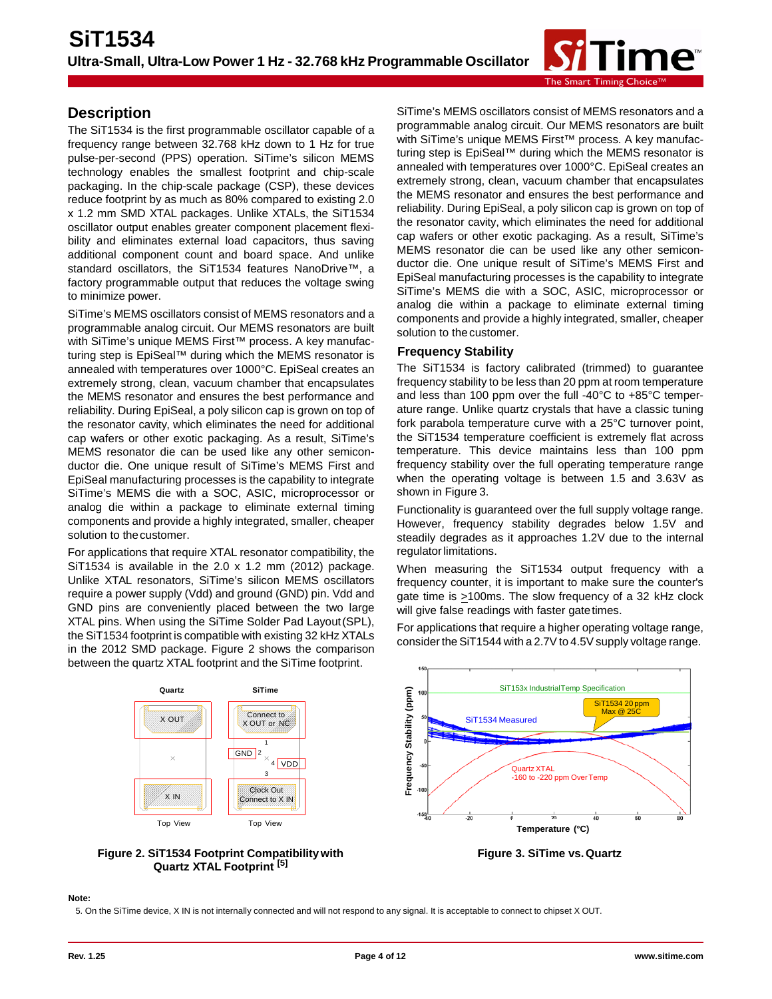

### **Description**

The SiT1534 is the first programmable oscillator capable of a frequency range between 32.768 kHz down to 1 Hz for true pulse-per-second (PPS) operation. SiTime's silicon MEMS technology enables the smallest footprint and chip-scale packaging. In the chip-scale package (CSP), these devices reduce footprint by as much as 80% compared to existing 2.0 x 1.2 mm SMD XTAL packages. Unlike XTALs, the SiT1534 oscillator output enables greater component placement flexibility and eliminates external load capacitors, thus saving additional component count and board space. And unlike standard oscillators, the SiT1534 features NanoDrive™, a factory programmable output that reduces the voltage swing to minimize power.

SiTime's MEMS oscillators consist of MEMS resonators and a programmable analog circuit. Our MEMS resonators are built with SiTime's unique MEMS First<sup>™</sup> process. A key manufacturing step is EpiSeal™ during which the MEMS resonator is annealed with temperatures over 1000°C. EpiSeal creates an extremely strong, clean, vacuum chamber that encapsulates the MEMS resonator and ensures the best performance and reliability. During EpiSeal, a poly silicon cap is grown on top of the resonator cavity, which eliminates the need for additional cap wafers or other exotic packaging. As a result, SiTime's MEMS resonator die can be used like any other semiconductor die. One unique result of SiTime's MEMS First and EpiSeal manufacturing processes is the capability to integrate SiTime's MEMS die with a SOC, ASIC, microprocessor or analog die within a package to eliminate external timing components and provide a highly integrated, smaller, cheaper solution to thecustomer.

For applications that require XTAL resonator compatibility, the SiT1534 is available in the 2.0 x 1.2 mm (2012) package. Unlike XTAL resonators, SiTime's silicon MEMS oscillators require a power supply (Vdd) and ground (GND) pin. Vdd and GND pins are conveniently placed between the two large XTAL pins. When using the SiTime Solder Pad Layout(SPL), the SiT1534 footprint is compatible with existing 32 kHz XTALs in the 2012 SMD package. Figure 2 shows the comparison between the quartz XTAL footprint and the SiTime footprint.





SiTime's MEMS oscillators consist of MEMS resonators and a programmable analog circuit. Our MEMS resonators are built with SiTime's unique MEMS First™ process. A key manufacturing step is EpiSeal™ during which the MEMS resonator is annealed with temperatures over 1000°C. EpiSeal creates an extremely strong, clean, vacuum chamber that encapsulates the MEMS resonator and ensures the best performance and reliability. During EpiSeal, a poly silicon cap is grown on top of the resonator cavity, which eliminates the need for additional cap wafers or other exotic packaging. As a result, SiTime's MEMS resonator die can be used like any other semiconductor die. One unique result of SiTime's MEMS First and EpiSeal manufacturing processes is the capability to integrate SiTime's MEMS die with a SOC, ASIC, microprocessor or analog die within a package to eliminate external timing components and provide a highly integrated, smaller, cheaper solution to the customer.

#### **Frequency Stability**

The SiT1534 is factory calibrated (trimmed) to guarantee frequency stability to be less than 20 ppm at room temperature and less than 100 ppm over the full -40°C to +85°C temperature range. Unlike quartz crystals that have a classic tuning fork parabola temperature curve with a 25°C turnover point, the SiT1534 temperature coefficient is extremely flat across temperature. This device maintains less than 100 ppm frequency stability over the full operating temperature range when the operating voltage is between 1.5 and 3.63V as shown in Figure 3.

Functionality is guaranteed over the full supply voltage range. However, frequency stability degrades below 1.5V and steadily degrades as it approaches 1.2V due to the internal regulator limitations.

When measuring the SiT1534 output frequency with a frequency counter, it is important to make sure the counter's gate time is >100ms. The slow frequency of a 32 kHz clock will give false readings with faster gatetimes.

For applications that require a higher operating voltage range, consider the SiT1544 with a 2.7V to 4.5V supply voltage range.



#### **Note:**

5. On the SiTime device, X IN is not internally connected and will not respond to any signal. It is acceptable to connect to chipset X OUT.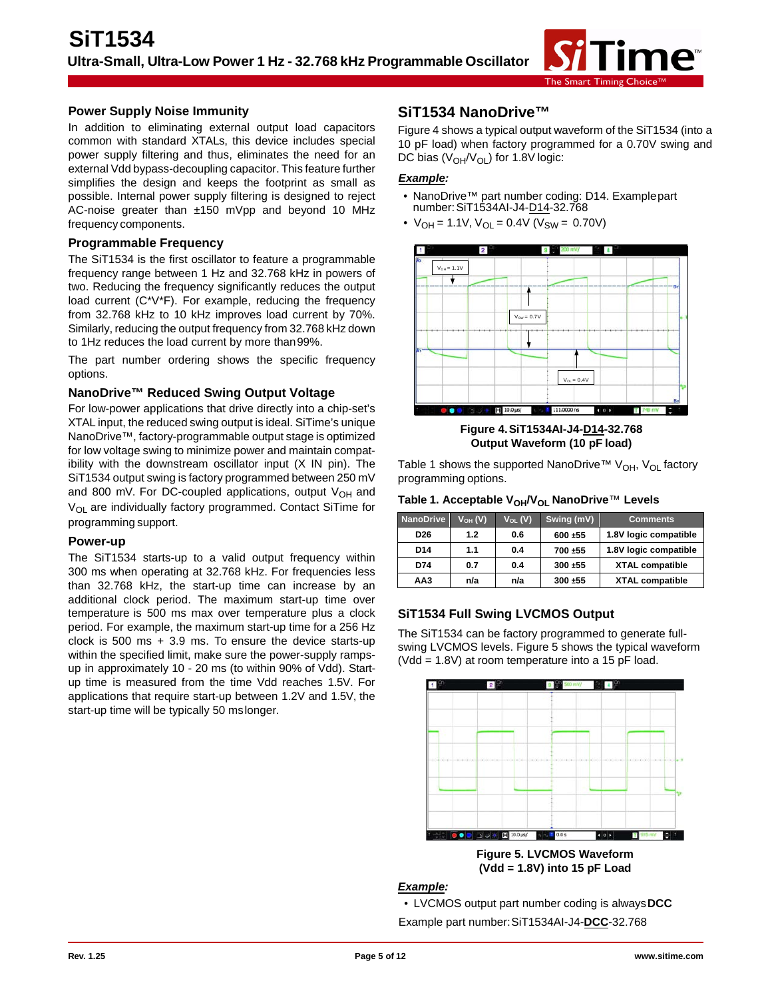

#### **Power Supply Noise Immunity**

In addition to eliminating external output load capacitors common with standard XTALs, this device includes special power supply filtering and thus, eliminates the need for an external Vdd bypass-decoupling capacitor. This feature further simplifies the design and keeps the footprint as small as possible. Internal power supply filtering is designed to reject AC-noise greater than ±150 mVpp and beyond 10 MHz frequency components.

#### **Programmable Frequency**

The SiT1534 is the first oscillator to feature a programmable frequency range between 1 Hz and 32.768 kHz in powers of two. Reducing the frequency significantly reduces the output load current (C\*V\*F). For example, reducing the frequency from 32.768 kHz to 10 kHz improves load current by 70%. Similarly, reducing the output frequency from 32.768 kHz down to 1Hz reduces the load current by more than99%.

The part number ordering shows the specific frequency options.

#### **NanoDrive™ Reduced Swing Output Voltage**

For low-power applications that drive directly into a chip-set's XTAL input, the reduced swing output is ideal. SiTime's unique NanoDrive™, factory-programmable output stage is optimized for low voltage swing to minimize power and maintain compatibility with the downstream oscillator input (X IN pin). The SiT1534 output swing is factory programmed between 250 mV and 800 mV. For DC-coupled applications, output  $V_{OH}$  and V<sub>OL</sub> are individually factory programmed. Contact SiTime for programming support.

#### **Power-up**

The SiT1534 starts-up to a valid output frequency within 300 ms when operating at 32.768 kHz. For frequencies less than 32.768 kHz, the start-up time can increase by an additional clock period. The maximum start-up time over temperature is 500 ms max over temperature plus a clock period. For example, the maximum start-up time for a 256 Hz clock is 500 ms + 3.9 ms. To ensure the device starts-up within the specified limit, make sure the power-supply rampsup in approximately 10 - 20 ms (to within 90% of Vdd). Startup time is measured from the time Vdd reaches 1.5V. For applications that require start-up between 1.2V and 1.5V, the start-up time will be typically 50 mslonger.

### **SiT1534 NanoDrive™**

Figure 4 shows a typical output waveform of the SiT1534 (into a 10 pF load) when factory programmed for a 0.70V swing and DC bias  $(V_{OH}/V_{OL})$  for 1.8V logic:

#### *Example:*

- NanoDrive™ part number coding: D14. Examplepart number:SiT1534AI-J4-D14-32.768
- $V_{OH} = 1.1V$ ,  $V_{OL} = 0.4V$  ( $V_{SW} = 0.70V$ )



**Figure 4.SiT1534AI-J4-D14-32.768 Output Waveform (10 pF load)**

Table 1 shows the supported NanoDrive™ V<sub>OH</sub>, V<sub>OL</sub> factory programming options.

Table 1. Acceptable V<sub>OH</sub>/V<sub>OL</sub> NanoDrive™ Levels

| <b>NanoDrive</b> | $V_{OH} (V)$ | $V_{OL}$ (V) | Swing (mV) | <b>Comments</b>        |
|------------------|--------------|--------------|------------|------------------------|
| D26              | 1.2          | 0.6          | 600 ±55    | 1.8V logic compatible  |
| D <sub>14</sub>  | 1.1          | 0.4          | 700 ±55    | 1.8V logic compatible  |
| D74              | 0.7          | 0.4          | 300 ±55    | <b>XTAL compatible</b> |
| AA3              | n/a          | n/a          | 300 ±55    | <b>XTAL compatible</b> |

### **SiT1534 Full Swing LVCMOS Output**

The SiT1534 can be factory programmed to generate fullswing LVCMOS levels. Figure 5 shows the typical waveform (Vdd = 1.8V) at room temperature into a 15 pF load.

![](_page_4_Figure_23.jpeg)

**(Vdd = 1.8V) into 15 pF Load**

#### *Example:*

• LVCMOS output part number coding is always**DCC** Example part number:SiT1534AI-J4-**DCC**-32.768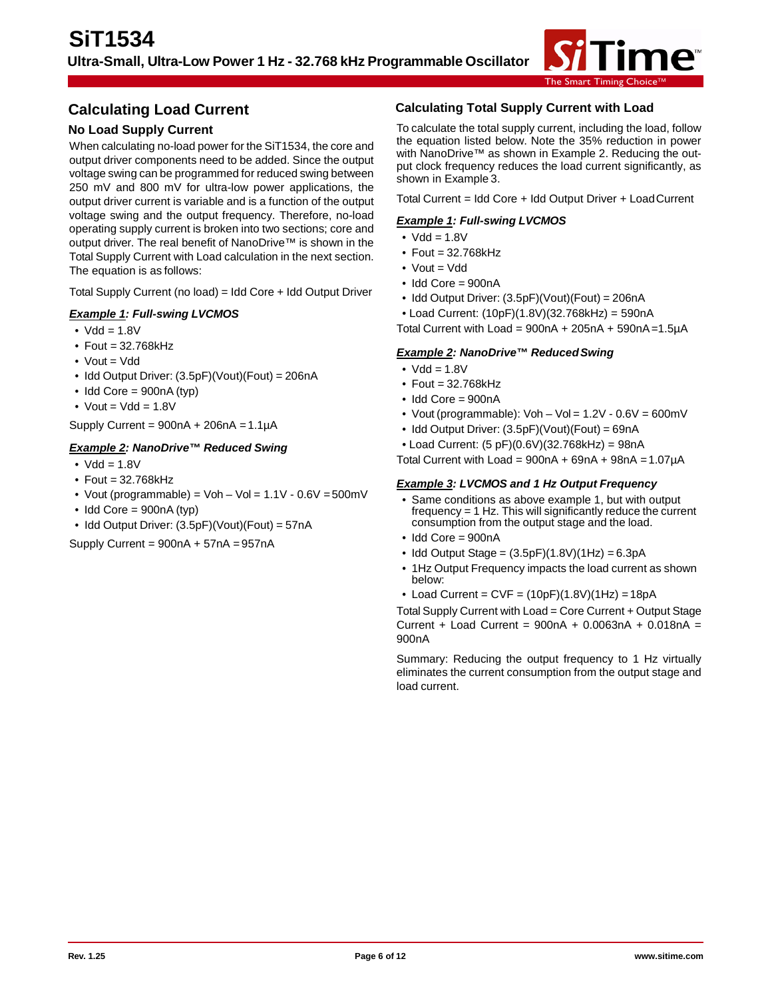![](_page_5_Picture_1.jpeg)

### **Calculating Load Current**

### **No Load Supply Current**

When calculating no-load power for the SiT1534, the core and output driver components need to be added. Since the output voltage swing can be programmed for reduced swing between 250 mV and 800 mV for ultra-low power applications, the output driver current is variable and is a function of the output voltage swing and the output frequency. Therefore, no-load operating supply current is broken into two sections; core and output driver. The real benefit of NanoDrive™ is shown in the Total Supply Current with Load calculation in the next section. The equation is as follows:

Total Supply Current (no load) = Idd Core + Idd Output Driver

#### *Example 1: Full-swing LVCMOS*

- $Vdd = 1.8V$
- Fout = 32.768kHz
- $\bullet$  Vout = Vdd
- Idd Output Driver: (3.5pF)(Vout)(Fout) = 206nA
- $\bullet$  Idd Core = 900nA (typ)
- Vout =  $Vdd = 1.8V$

Supply Current =  $900nA + 206nA = 1.1\mu A$ 

#### *Example 2: NanoDrive™ Reduced Swing*

- $Vdd = 1.8V$
- Fout = 32.768kHz
- Vout (programmable) = Voh Vol =  $1.1V 0.6V = 500mV$
- $\bullet$  Idd Core = 900nA (typ)
- Idd Output Driver: (3.5pF)(Vout)(Fout) = 57nA

Supply Current =  $900nA + 57nA = 957nA$ 

#### **Calculating Total Supply Current with Load**

To calculate the total supply current, including the load, follow the equation listed below. Note the 35% reduction in power with NanoDrive™ as shown in Example 2. Reducing the output clock frequency reduces the load current significantly, as shown in Example 3.

Total Current = Idd Core + Idd Output Driver + LoadCurrent

#### *Example 1: Full-swing LVCMOS*

- $\bullet$  Vdd = 1.8V
- $\bullet$  Fout = 32.768 $kHz$
- Vout = Vdd
- Idd Core = 900nA
- Idd Output Driver: (3.5pF)(Vout)(Fout) = 206nA
- Load Current: (10pF)(1.8V)(32.768kHz) = 590nA

Total Current with  $Load = 900nA + 205nA + 590nA = 1.5\mu A$ 

#### *Example 2: NanoDrive™ ReducedSwing*

- $Vdd = 1.8V$
- Fout = 32.768kHz
- Idd Core = 900nA
- Vout (programmable): Voh Vol =  $1.2V 0.6V = 600mV$
- Idd Output Driver: (3.5pF)(Vout)(Fout) = 69nA
- Load Current: (5 pF)(0.6V)(32.768kHz) = 98nA

Total Current with  $Load = 900nA + 69nA + 98nA = 1.07\mu A$ 

#### *Example 3: LVCMOS and 1 Hz Output Frequency*

- Same conditions as above example 1, but with output frequency = 1 Hz. This will significantly reduce the current consumption from the output stage and the load.
- Idd Core = 900nA
- Idd Output Stage =  $(3.5pF)(1.8V)(1Hz) = 6.3pA$
- 1Hz Output Frequency impacts the load current as shown below:
- Load Current =  $CVF = (10pF)(1.8V)(1Hz) = 18pA$

Total Supply Current with Load = Core Current + Output Stage Current + Load Current =  $900nA + 0.0063nA + 0.018nA =$ 900nA

Summary: Reducing the output frequency to 1 Hz virtually eliminates the current consumption from the output stage and load current.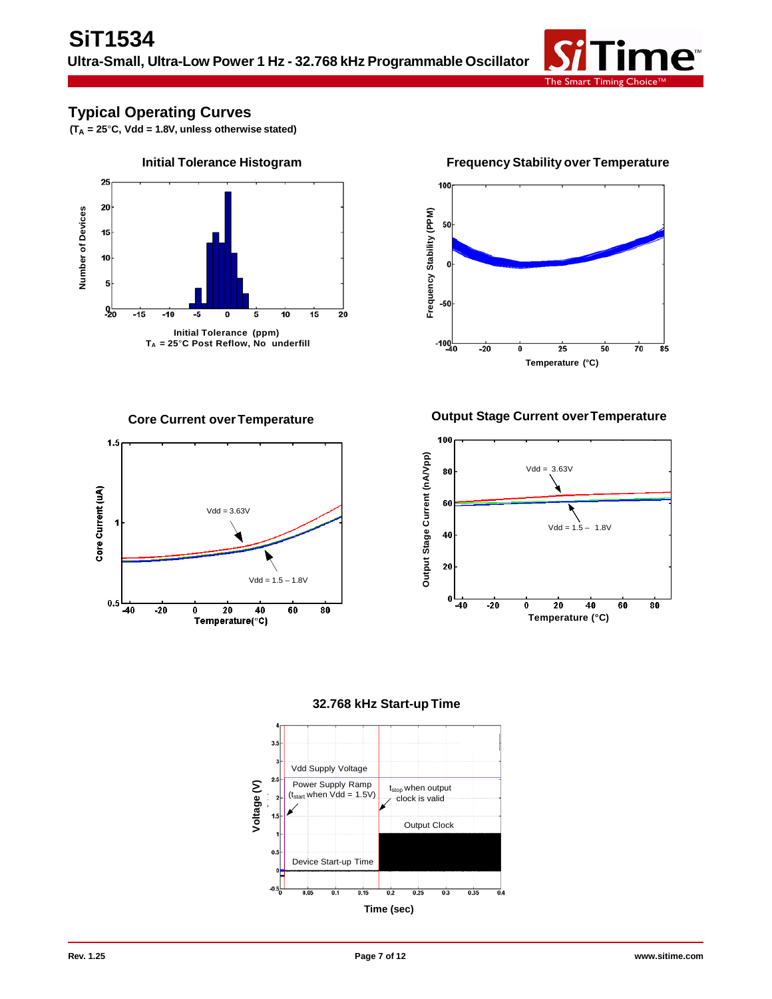![](_page_6_Picture_1.jpeg)

### **Typical Operating Curves**

**(TA = 25**°**C, Vdd = 1.8V, unless otherwise stated)**

![](_page_6_Figure_4.jpeg)

![](_page_6_Figure_6.jpeg)

![](_page_6_Figure_8.jpeg)

**Core Current overTemperature Output Stage Current overTemperature**

![](_page_6_Figure_10.jpeg)

![](_page_6_Figure_11.jpeg)

![](_page_6_Figure_12.jpeg)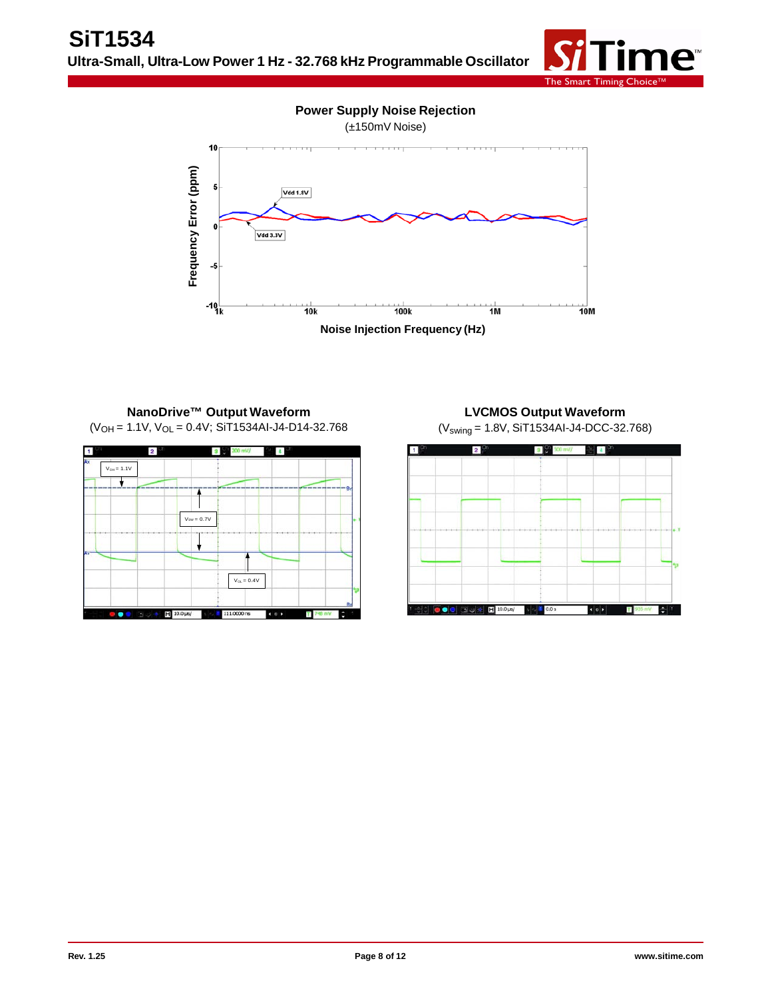![](_page_7_Picture_1.jpeg)

![](_page_7_Figure_2.jpeg)

### **NanoDrive™ Output Waveform**  $(V<sub>OH</sub> = 1.1V, V<sub>OL</sub> = 0.4V; SiT1534Al-J4-D14-32.768$

![](_page_7_Figure_4.jpeg)

# **LVCMOS Output Waveform**

(Vswing = 1.8V, SiT1534AI-J4-DCC-32.768)

![](_page_7_Figure_7.jpeg)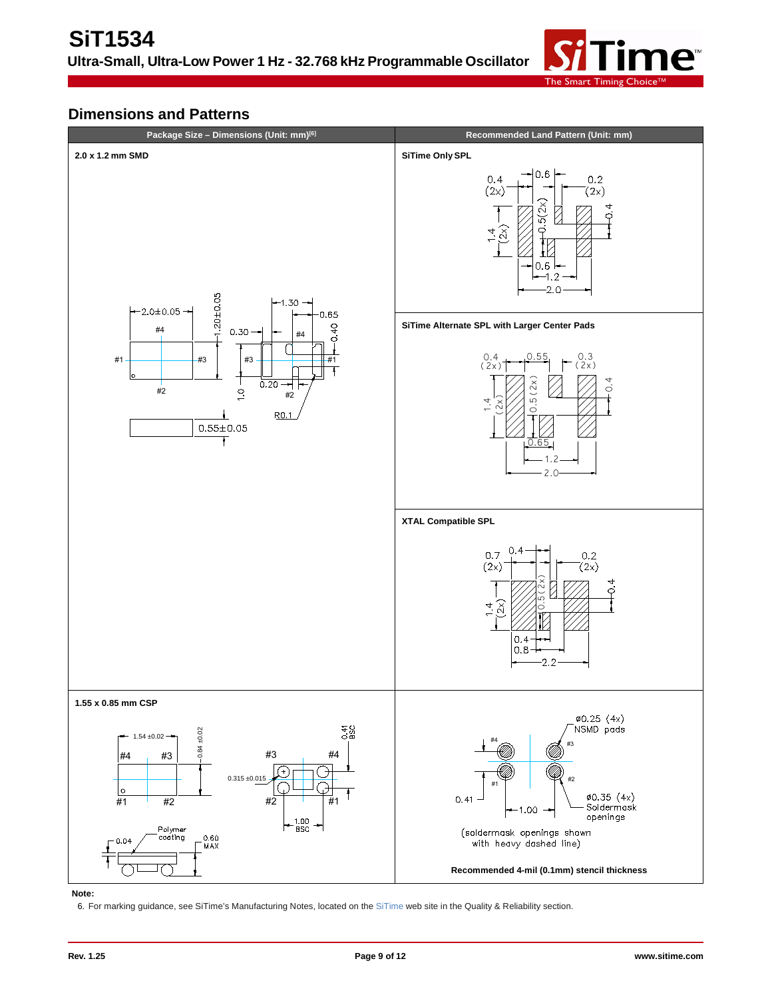![](_page_8_Picture_1.jpeg)

# **Dimensions and Patterns**

![](_page_8_Figure_3.jpeg)

#### **Note:**

6. For marking guidance, see SiTime's Manufacturing Notes, located on the [SiTime](http://www.sitime.com/support/quality-and-reliability#magictabs_MWIpq_4) web site in the Quality & Reliability section.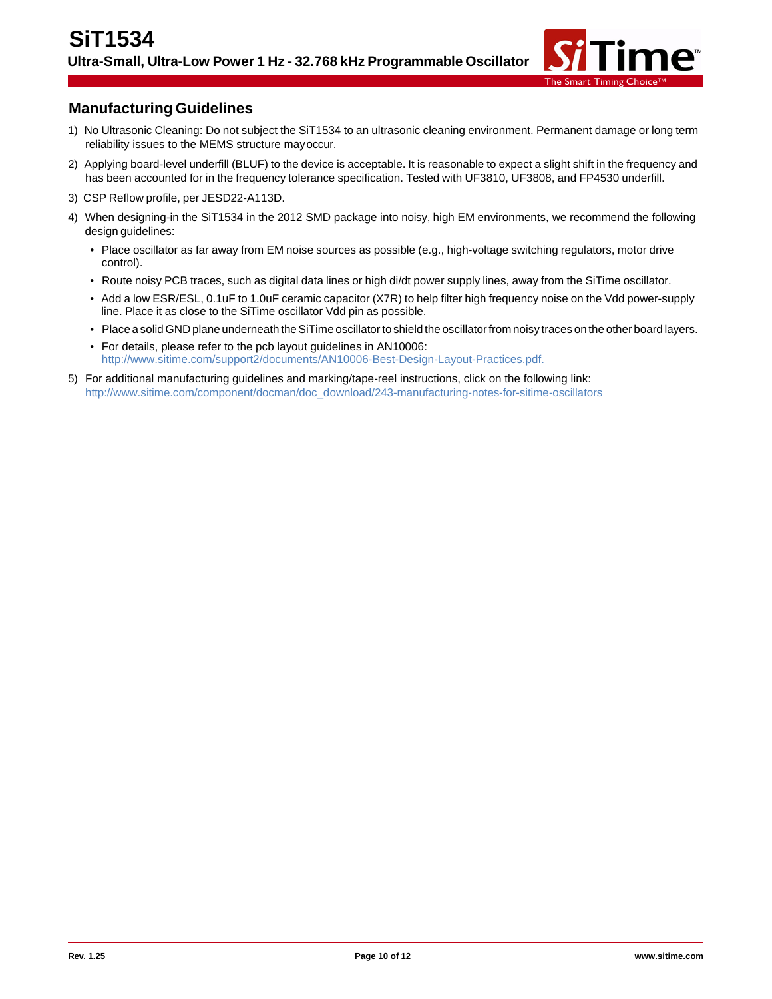![](_page_9_Picture_1.jpeg)

### **Manufacturing Guidelines**

- 1) No Ultrasonic Cleaning: Do not subject the SiT1534 to an ultrasonic cleaning environment. Permanent damage or long term reliability issues to the MEMS structure mayoccur.
- 2) Applying board-level underfill (BLUF) to the device is acceptable. It is reasonable to expect a slight shift in the frequency and has been accounted for in the frequency tolerance specification. Tested with UF3810, UF3808, and FP4530 underfill.
- 3) CSP Reflow profile, per JESD22-A113D.
- 4) When designing-in the SiT1534 in the 2012 SMD package into noisy, high EM environments, we recommend the following design guidelines:
	- Place oscillator as far away from EM noise sources as possible (e.g., high-voltage switching regulators, motor drive control).
	- Route noisy PCB traces, such as digital data lines or high di/dt power supply lines, away from the SiTime oscillator.
	- Add a low ESR/ESL, 0.1uF to 1.0uF ceramic capacitor (X7R) to help filter high frequency noise on the Vdd power-supply line. Place it as close to the SiTime oscillator Vdd pin as possible.
	- Place a solid GND plane underneath the SiTime oscillator to shield the oscillator from noisy traces on the other board layers.
	- For details, please refer to the pcb layout guidelines in AN10006: <http://www.sitime.com/support2/documents/AN10006-Best-Design-Layout-Practices.pdf.>
- 5) For additional manufacturing guidelines and marking/tape-reel instructions, click on the following link: [http://www.sitime.com/component/docman/doc\\_download/243-manufacturing-notes-for-sitime-oscillators](http://www.sitime.com/component/docman/doc_download/243-manufacturing-notes-for-sitime-oscillators)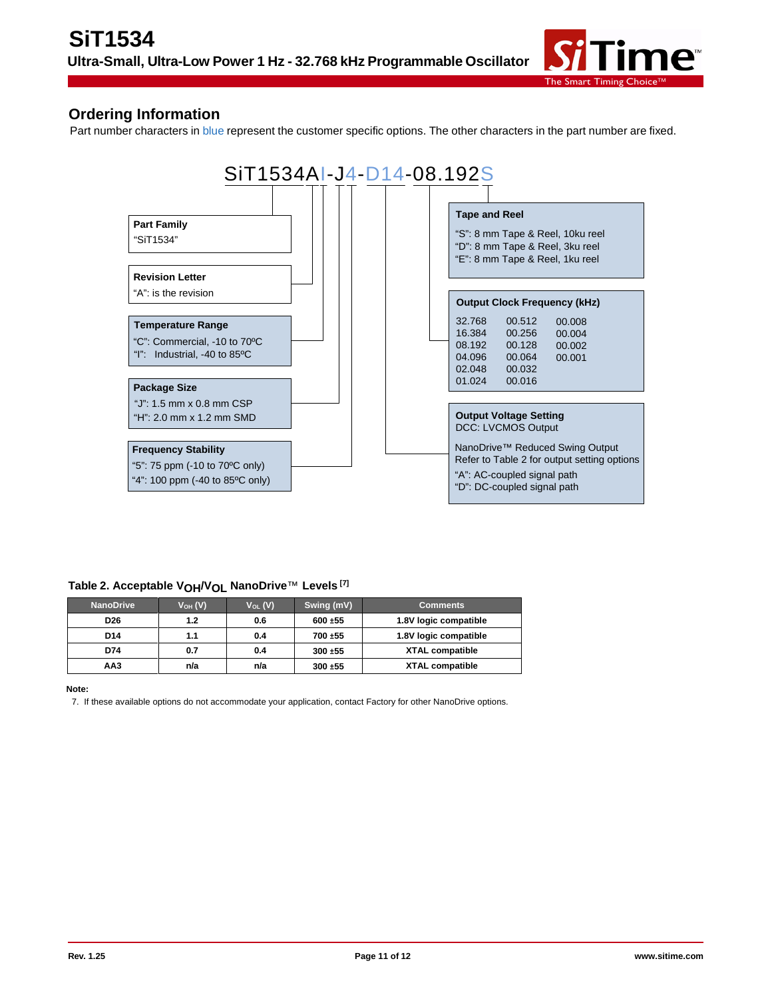![](_page_10_Picture_1.jpeg)

### **Ordering Information**

Part number characters in blue represent the customer specific options. The other characters in the part number are fixed.

![](_page_10_Figure_4.jpeg)

#### **Table 2. Acceptable VOH/VOL NanoDrive**™ **Levels [7]**

| <b>NanoDrive</b> | $V_{OH} (V)$ | $V_{OL}(V)$ | Swing (mV) | <b>Comments</b>        |
|------------------|--------------|-------------|------------|------------------------|
| D <sub>26</sub>  | 1.2          | 0.6         | 600 ±55    | 1.8V logic compatible  |
| D14              | 1.1          | 0.4         | 700 ±55    | 1.8V logic compatible  |
| D74              | 0.7          | 0.4         | $300 + 55$ | <b>XTAL compatible</b> |
| AA3              | n/a          | n/a         | $300 + 55$ | <b>XTAL compatible</b> |

#### **Note:**

7. If these available options do not accommodate your application, contact Factory for other NanoDrive options.